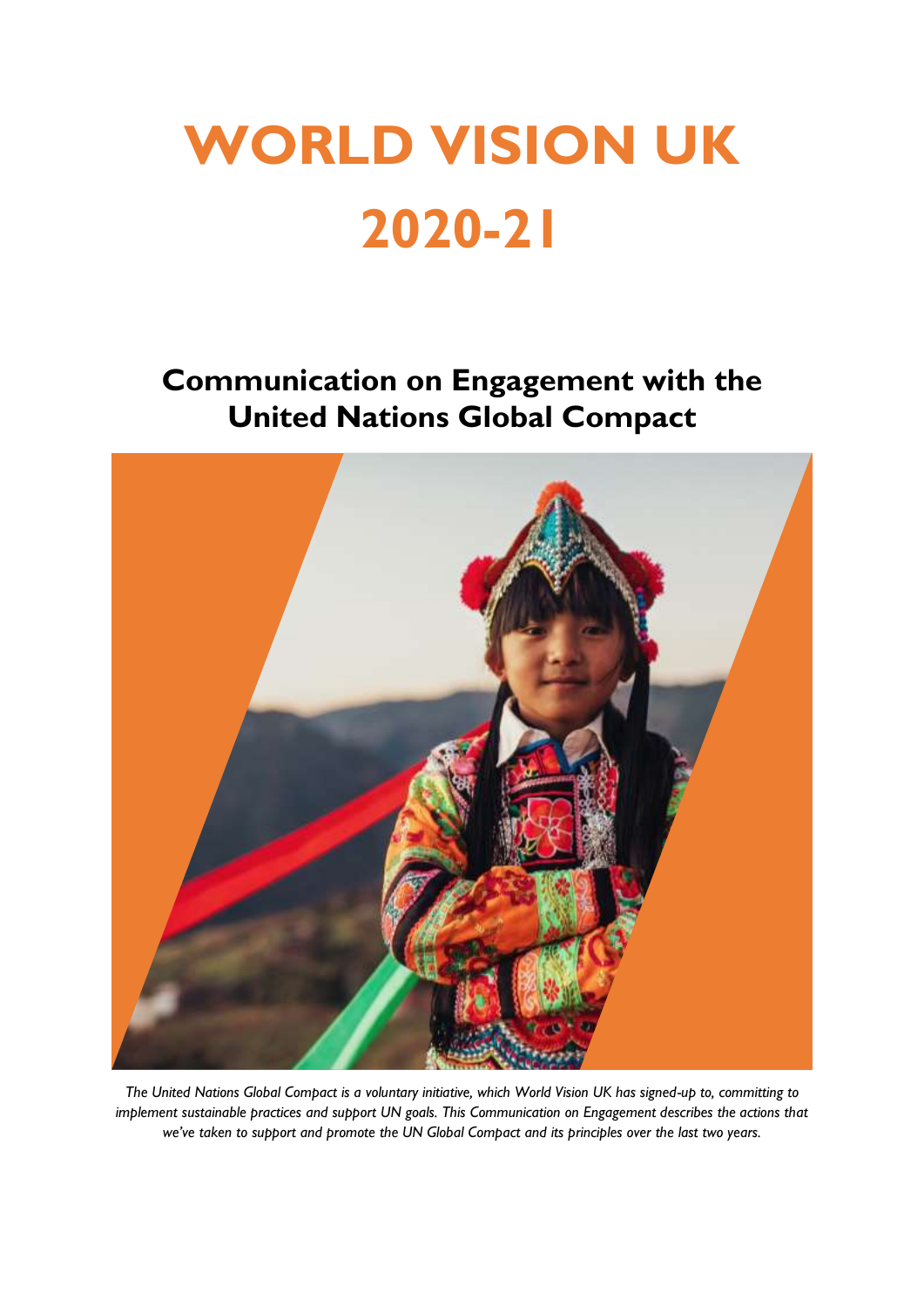# **WORLD VISION UK 2020-21**

**Communication on Engagement with the United Nations Global Compact**



*The United Nations Global Compact is a voluntary initiative, which World Vision UK has signed-up to, committing to implement sustainable practices and support UN goals. This Communication on Engagement describes the actions that we've taken to support and promote the UN Global Compact and its principles over the last two years.*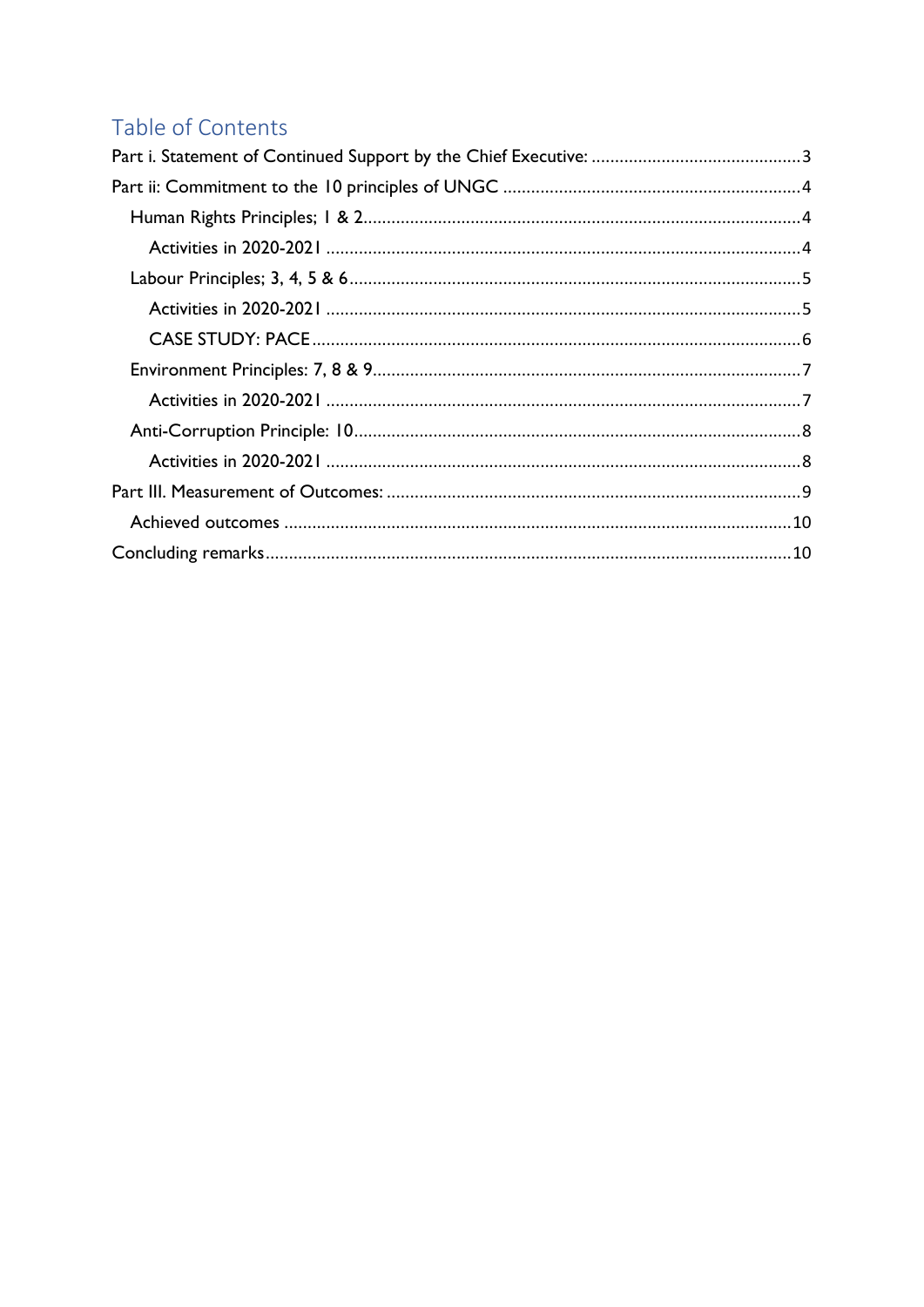# Table of Contents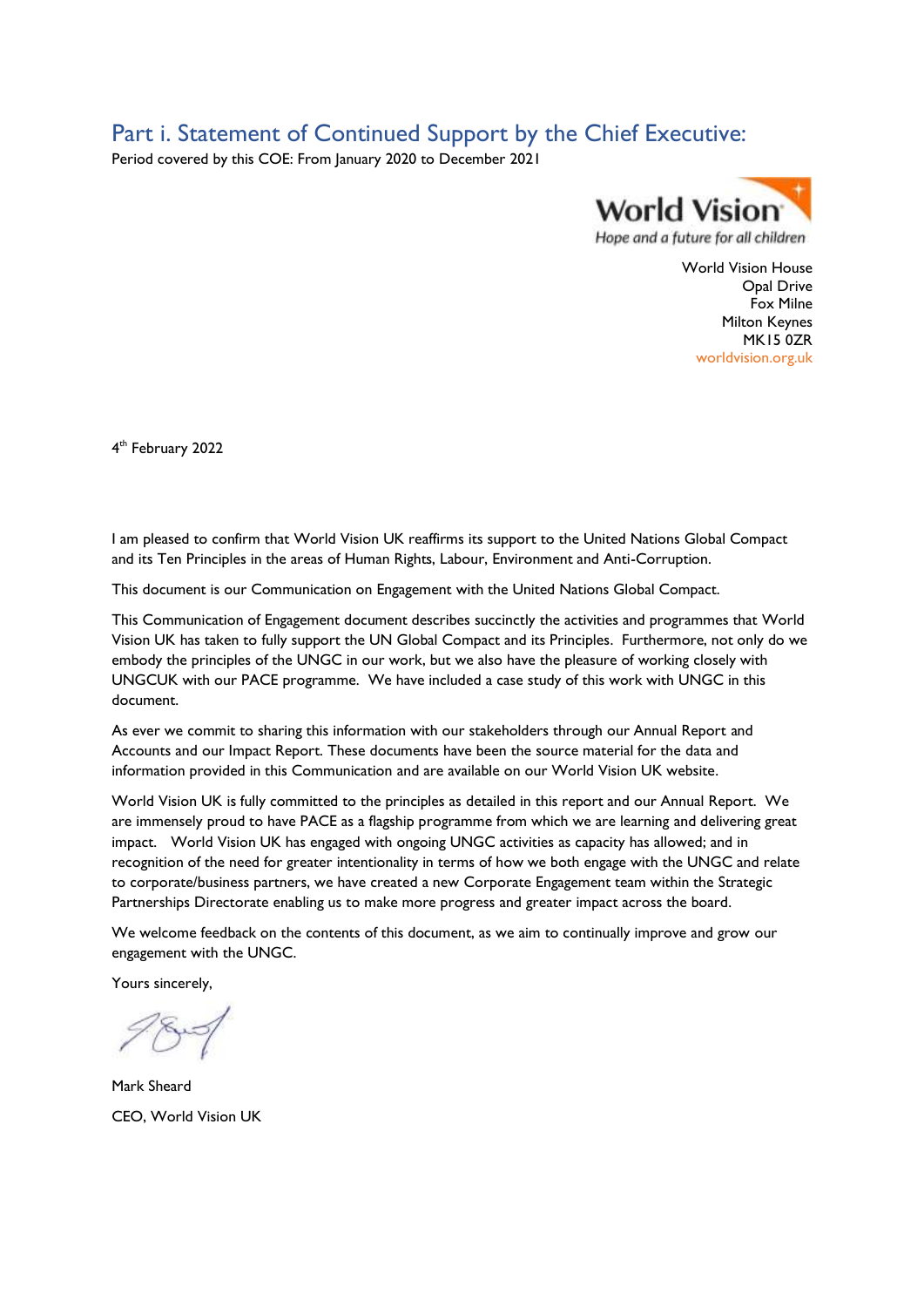# <span id="page-2-0"></span>Part i. Statement of Continued Support by the Chief Executive:

Period covered by this COE: From January 2020 to December 2021



World Vision House Opal Drive Fox Milne Milton Keynes MK15 0ZR worldvision.org.uk

4 th February 2022

I am pleased to confirm that World Vision UK reaffirms its support to the United Nations Global Compact and its Ten Principles in the areas of Human Rights, Labour, Environment and Anti-Corruption.

This document is our Communication on Engagement with the United Nations Global Compact.

This Communication of Engagement document describes succinctly the activities and programmes that World Vision UK has taken to fully support the UN Global Compact and its Principles. Furthermore, not only do we embody the principles of the UNGC in our work, but we also have the pleasure of working closely with UNGCUK with our PACE programme. We have included a case study of this work with UNGC in this document.

As ever we commit to sharing this information with our stakeholders through our Annual Report and Accounts and our Impact Report. These documents have been the source material for the data and information provided in this Communication and are available on our World Vision UK website.

World Vision UK is fully committed to the principles as detailed in this report and our Annual Report. We are immensely proud to have PACE as a flagship programme from which we are learning and delivering great impact. World Vision UK has engaged with ongoing UNGC activities as capacity has allowed; and in recognition of the need for greater intentionality in terms of how we both engage with the UNGC and relate to corporate/business partners, we have created a new Corporate Engagement team within the Strategic Partnerships Directorate enabling us to make more progress and greater impact across the board.

We welcome feedback on the contents of this document, as we aim to continually improve and grow our engagement with the UNGC.

Yours sincerely,

Mark Sheard CEO, World Vision UK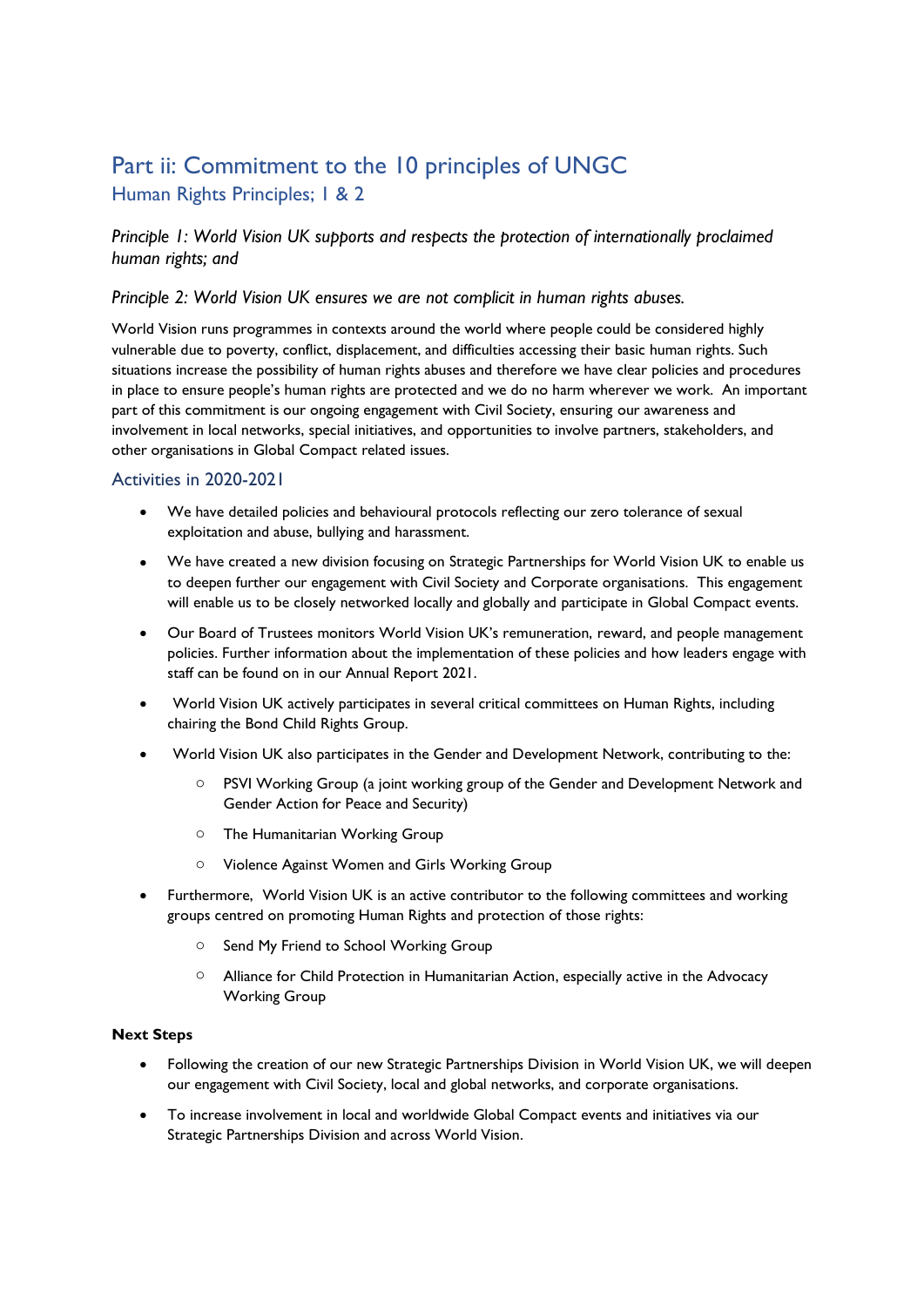# <span id="page-3-1"></span><span id="page-3-0"></span>Part ii: Commitment to the 10 principles of UNGC Human Rights Principles; 1 & 2

*Principle 1: World Vision UK supports and respects the protection of internationally proclaimed human rights; and*

#### *Principle 2: World Vision UK ensures we are not complicit in human rights abuses.*

World Vision runs programmes in contexts around the world where people could be considered highly vulnerable due to poverty, conflict, displacement, and difficulties accessing their basic human rights. Such situations increase the possibility of human rights abuses and therefore we have clear policies and procedures in place to ensure people's human rights are protected and we do no harm wherever we work. An important part of this commitment is our ongoing engagement with Civil Society, ensuring our awareness and involvement in local networks, special initiatives, and opportunities to involve partners, stakeholders, and other organisations in Global Compact related issues.

#### <span id="page-3-2"></span>Activities in 2020-2021

- We have detailed policies and behavioural protocols reflecting our zero tolerance of sexual exploitation and abuse, bullying and harassment.
- We have created a new division focusing on Strategic Partnerships for World Vision UK to enable us to deepen further our engagement with Civil Society and Corporate organisations. This engagement will enable us to be closely networked locally and globally and participate in Global Compact events.
- Our Board of Trustees monitors World Vision UK's remuneration, reward, and people management policies. Further information about the implementation of these policies and how leaders engage with staff can be found on in our Annual Report 2021.
- World Vision UK actively participates in several critical committees on Human Rights, including chairing the Bond Child Rights Group.
- World Vision UK also participates in the Gender and Development Network, contributing to the:
	- PSVI Working Group (a joint working group of the Gender and Development Network and Gender Action for Peace and Security)
	- o The Humanitarian Working Group
	- o Violence Against Women and Girls Working Group
- Furthermore, World Vision UK is an active contributor to the following committees and working groups centred on promoting Human Rights and protection of those rights:
	- o Send My Friend to School Working Group
	- o Alliance for Child Protection in Humanitarian Action, especially active in the Advocacy Working Group

#### **Next Steps**

- Following the creation of our new Strategic Partnerships Division in World Vision UK, we will deepen our engagement with Civil Society, local and global networks, and corporate organisations.
- To increase involvement in local and worldwide Global Compact events and initiatives via our Strategic Partnerships Division and across World Vision.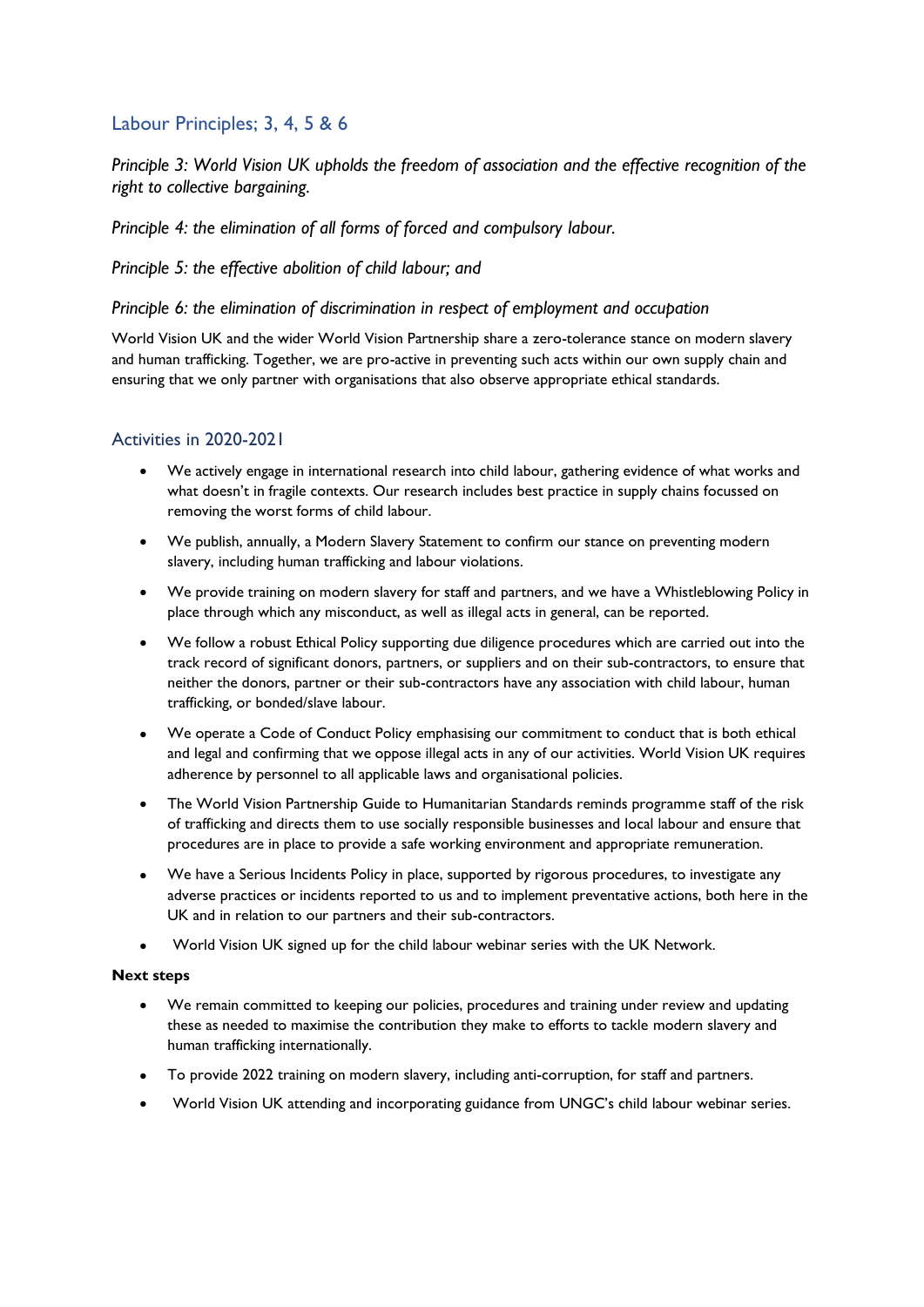### <span id="page-4-0"></span>Labour Principles; 3, 4, 5 & 6

*Principle 3: World Vision UK upholds the freedom of association and the effective recognition of the right to collective bargaining.*

*Principle 4: the elimination of all forms of forced and compulsory labour.*

#### *Principle 5: the effective abolition of child labour; and*

#### *Principle 6: the elimination of discrimination in respect of employment and occupation*

World Vision UK and the wider World Vision Partnership share a zero-tolerance stance on modern slavery and human trafficking. Together, we are pro-active in preventing such acts within our own supply chain and ensuring that we only partner with organisations that also observe appropriate ethical standards.

#### <span id="page-4-1"></span>Activities in 2020-2021

- We actively engage in international research into child labour, gathering evidence of what works and what doesn't in fragile contexts. Our research includes best practice in supply chains focussed on removing the worst forms of child labour.
- We publish, annually, a Modern Slavery Statement to confirm our stance on preventing modern slavery, including human trafficking and labour violations.
- We provide training on modern slavery for staff and partners, and we have a Whistleblowing Policy in place through which any misconduct, as well as illegal acts in general, can be reported.
- We follow a robust Ethical Policy supporting due diligence procedures which are carried out into the track record of significant donors, partners, or suppliers and on their sub-contractors, to ensure that neither the donors, partner or their sub-contractors have any association with child labour, human trafficking, or bonded/slave labour.
- We operate a Code of Conduct Policy emphasising our commitment to conduct that is both ethical and legal and confirming that we oppose illegal acts in any of our activities. World Vision UK requires adherence by personnel to all applicable laws and organisational policies.
- The World Vision Partnership Guide to Humanitarian Standards reminds programme staff of the risk of trafficking and directs them to use socially responsible businesses and local labour and ensure that procedures are in place to provide a safe working environment and appropriate remuneration.
- We have a Serious Incidents Policy in place, supported by rigorous procedures, to investigate any adverse practices or incidents reported to us and to implement preventative actions, both here in the UK and in relation to our partners and their sub-contractors.
- World Vision UK signed up for the child labour webinar series with the UK Network.

#### **Next steps**

- We remain committed to keeping our policies, procedures and training under review and updating these as needed to maximise the contribution they make to efforts to tackle modern slavery and human trafficking internationally.
- To provide 2022 training on modern slavery, including anti-corruption, for staff and partners.
- World Vision UK attending and incorporating guidance from UNGC's child labour webinar series.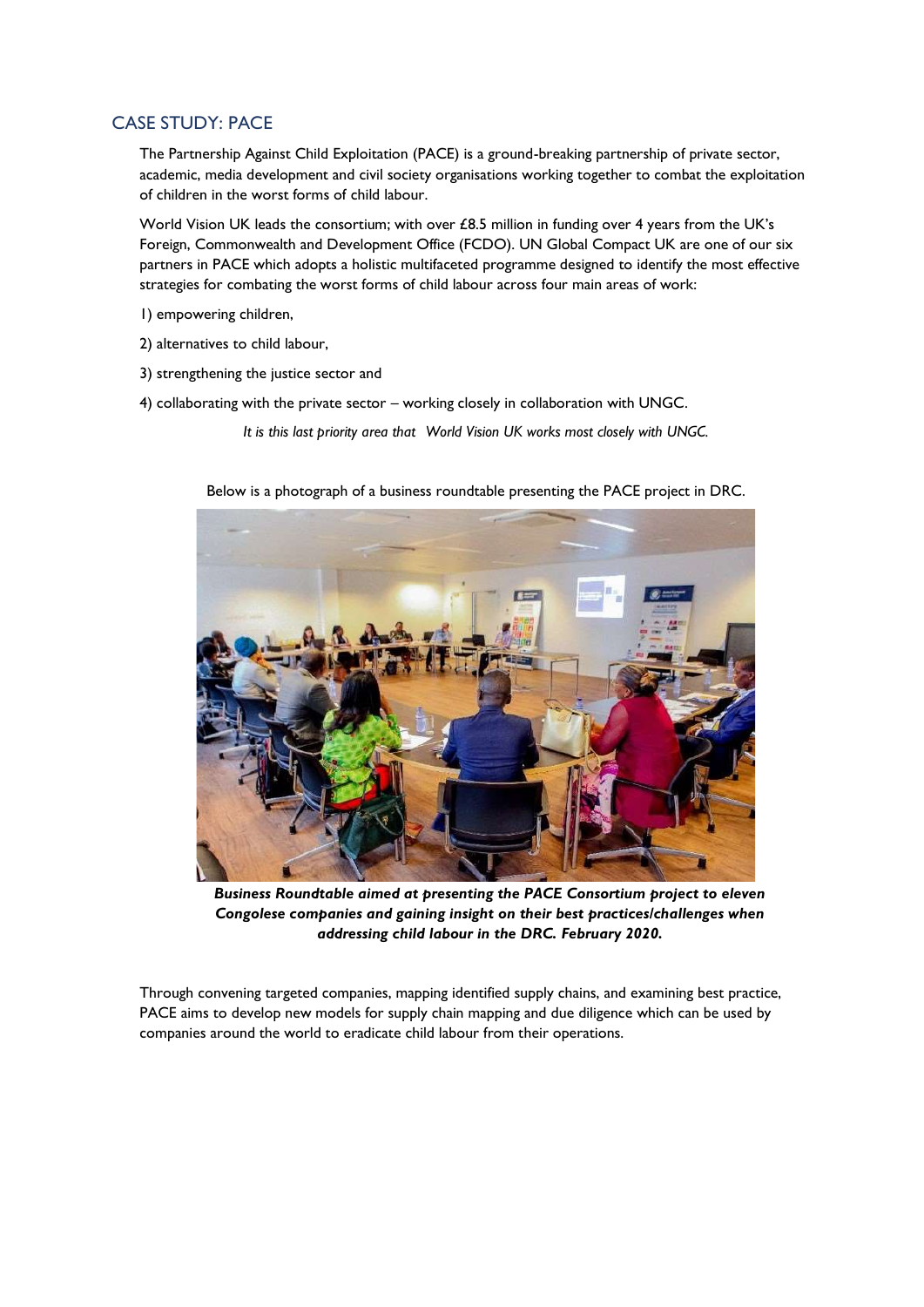#### <span id="page-5-0"></span>CASE STUDY: PACE

The Partnership Against Child Exploitation (PACE) is a ground-breaking partnership of private sector, academic, media development and civil society organisations working together to combat the exploitation of children in the worst forms of child labour.

World Vision UK leads the consortium; with over £8.5 million in funding over 4 years from the UK's Foreign, Commonwealth and Development Office (FCDO). UN Global Compact UK are one of our six partners in PACE which adopts a holistic multifaceted programme designed to identify the most effective strategies for combating the worst forms of child labour across four main areas of work:

- 1) empowering children,
- 2) alternatives to child labour,
- 3) strengthening the justice sector and
- 4) collaborating with the private sector working closely in collaboration with UNGC.

*It is this last priority area that World Vision UK works most closely with UNGC.*





*Business Roundtable aimed at presenting the PACE Consortium project to eleven Congolese companies and gaining insight on their best practices/challenges when addressing child labour in the DRC. February 2020.*

Through convening targeted companies, mapping identified supply chains, and examining best practice, PACE aims to develop new models for supply chain mapping and due diligence which can be used by companies around the world to eradicate child labour from their operations.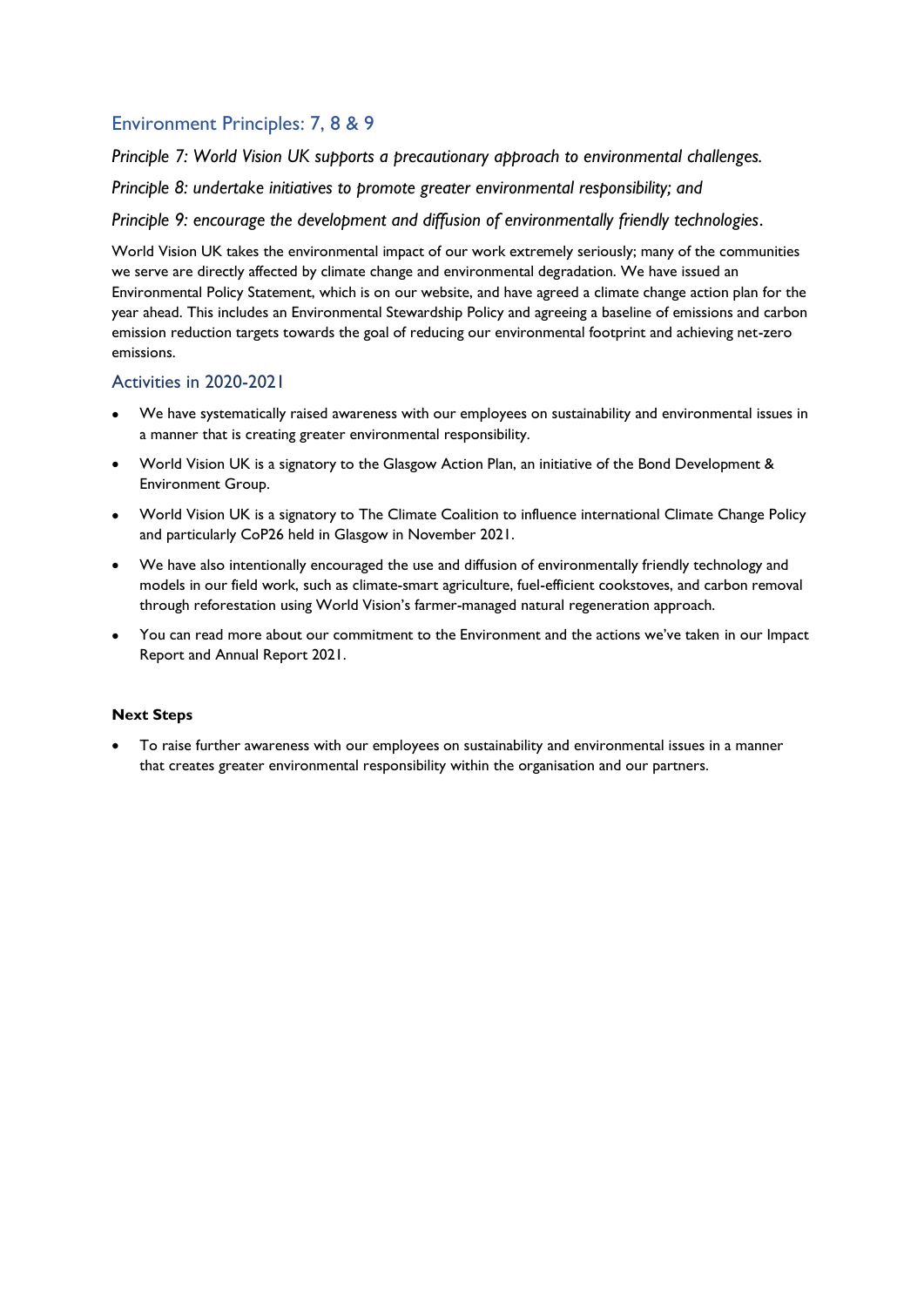## <span id="page-6-0"></span>Environment Principles: 7, 8 & 9

*Principle 7: World Vision UK supports a precautionary approach to environmental challenges.*

*Principle 8: undertake initiatives to promote greater environmental responsibility; and*

*Principle 9: encourage the development and diffusion of environmentally friendly technologies*.

World Vision UK takes the environmental impact of our work extremely seriously; many of the communities we serve are directly affected by climate change and environmental degradation. We have issued an Environmental Policy Statement, which is on our website, and have agreed a climate change action plan for the year ahead. This includes an Environmental Stewardship Policy and agreeing a baseline of emissions and carbon emission reduction targets towards the goal of reducing our environmental footprint and achieving net-zero emissions.

#### <span id="page-6-1"></span>Activities in 2020-2021

- We have systematically raised awareness with our employees on sustainability and environmental issues in a manner that is creating greater environmental responsibility.
- World Vision UK is a signatory to the Glasgow Action Plan, an initiative of the Bond Development & Environment Group.
- World Vision UK is a signatory to The Climate Coalition to influence international Climate Change Policy and particularly CoP26 held in Glasgow in November 2021.
- We have also intentionally encouraged the use and diffusion of environmentally friendly technology and models in our field work, such as climate-smart agriculture, fuel-efficient cookstoves, and carbon removal through reforestation using World Vision's farmer-managed natural regeneration approach.
- You can read more about our commitment to the Environment and the actions we've taken in our Impact Report and Annual Report 2021.

#### **Next Steps**

• To raise further awareness with our employees on sustainability and environmental issues in a manner that creates greater environmental responsibility within the organisation and our partners.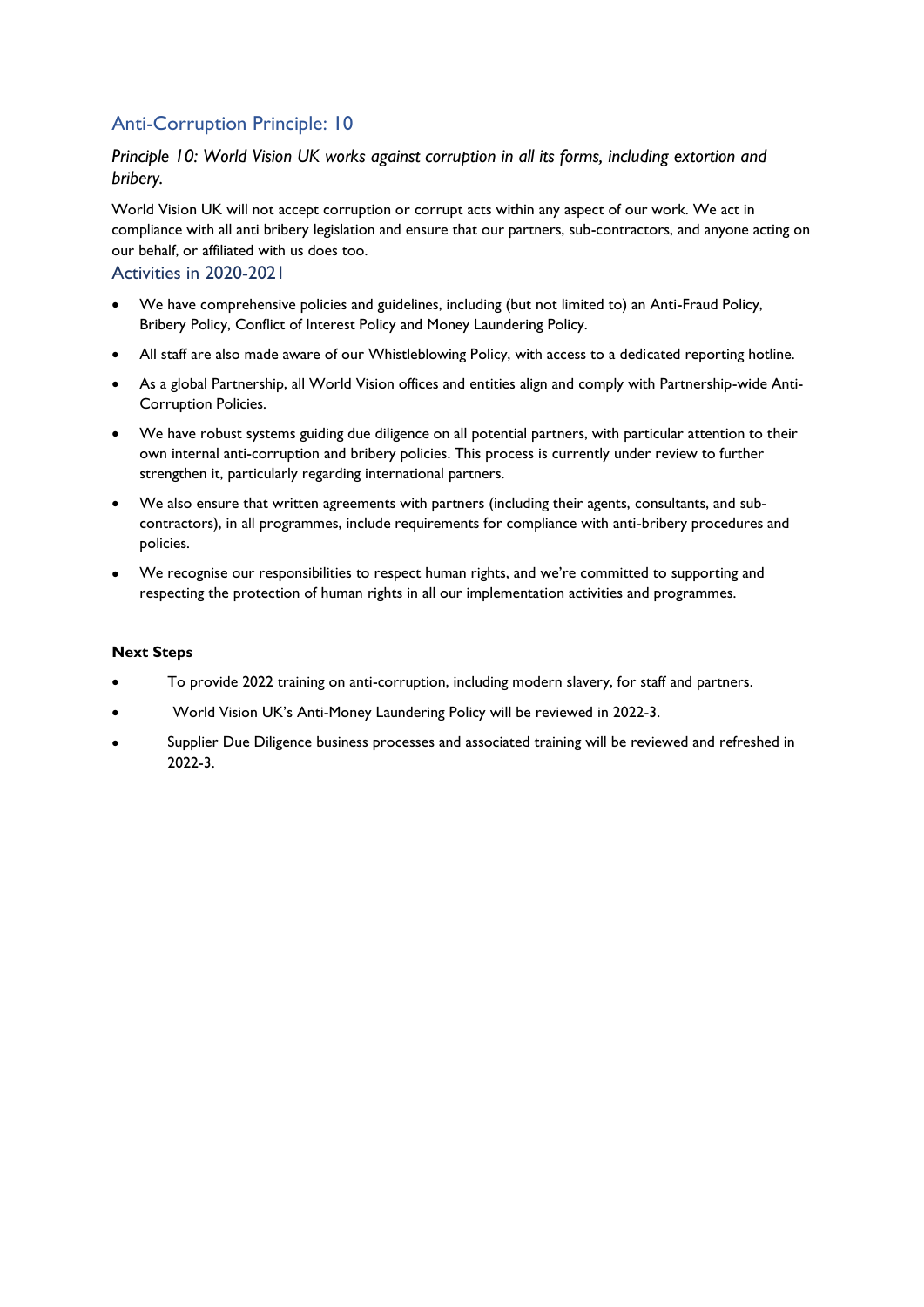## <span id="page-7-0"></span>Anti-Corruption Principle: 10

#### *Principle 10: World Vision UK works against corruption in all its forms, including extortion and bribery.*

World Vision UK will not accept corruption or corrupt acts within any aspect of our work. We act in compliance with all anti bribery legislation and ensure that our partners, sub-contractors, and anyone acting on our behalf, or affiliated with us does too.

#### <span id="page-7-1"></span>Activities in 2020-2021

- We have comprehensive policies and guidelines, including (but not limited to) an Anti-Fraud Policy, Bribery Policy, Conflict of Interest Policy and Money Laundering Policy.
- All staff are also made aware of our Whistleblowing Policy, with access to a dedicated reporting hotline.
- As a global Partnership, all World Vision offices and entities align and comply with Partnership-wide Anti-Corruption Policies.
- We have robust systems guiding due diligence on all potential partners, with particular attention to their own internal anti-corruption and bribery policies. This process is currently under review to further strengthen it, particularly regarding international partners.
- We also ensure that written agreements with partners (including their agents, consultants, and subcontractors), in all programmes, include requirements for compliance with anti-bribery procedures and policies.
- We recognise our responsibilities to respect human rights, and we're committed to supporting and respecting the protection of human rights in all our implementation activities and programmes.

#### **Next Steps**

- To provide 2022 training on anti-corruption, including modern slavery, for staff and partners.
- World Vision UK's Anti-Money Laundering Policy will be reviewed in 2022-3.
- Supplier Due Diligence business processes and associated training will be reviewed and refreshed in 2022-3.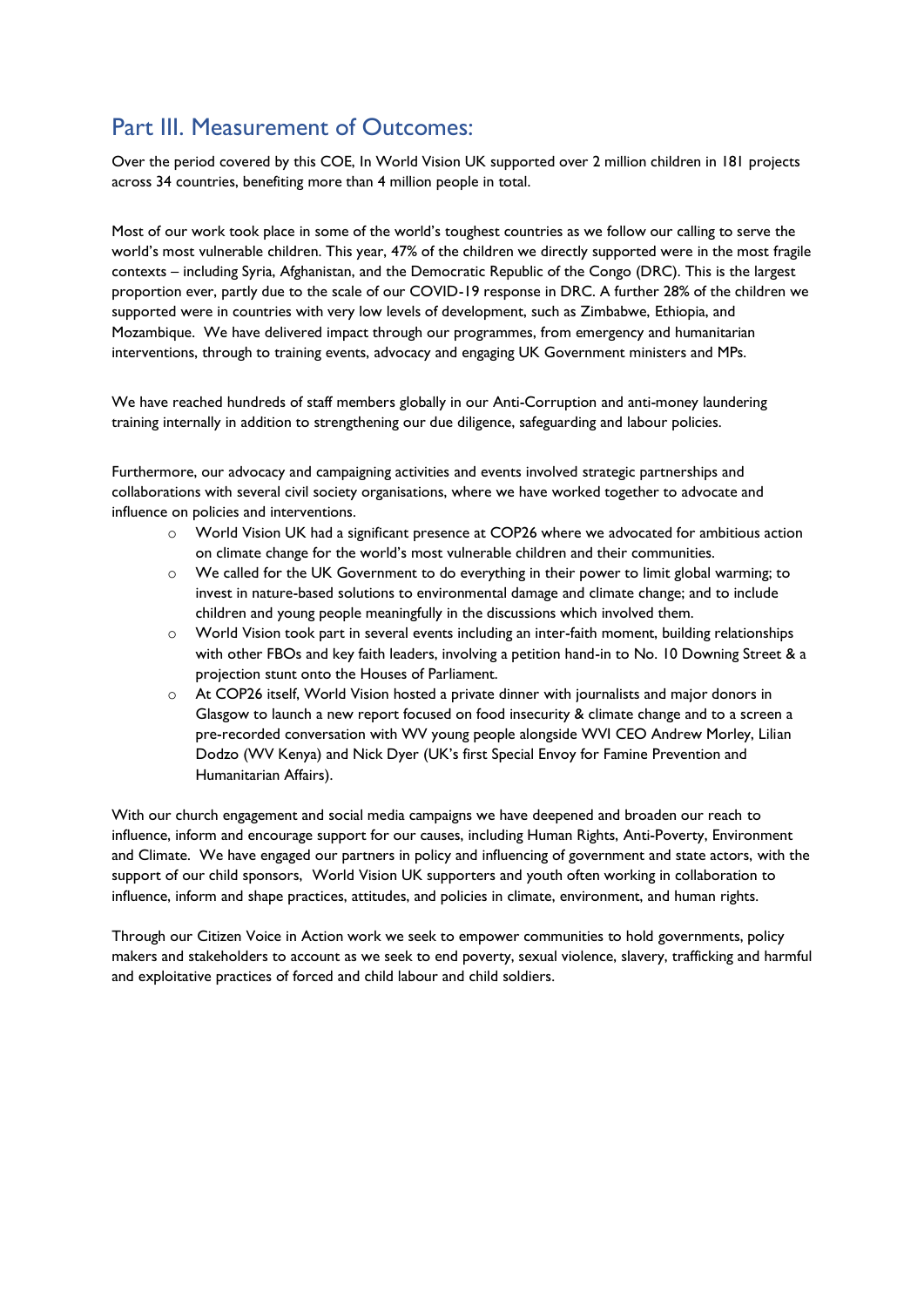# <span id="page-8-0"></span>Part III. Measurement of Outcomes:

Over the period covered by this COE, In World Vision UK supported over 2 million children in 181 projects across 34 countries, benefiting more than 4 million people in total.

Most of our work took place in some of the world's toughest countries as we follow our calling to serve the world's most vulnerable children. This year, 47% of the children we directly supported were in the most fragile contexts – including Syria, Afghanistan, and the Democratic Republic of the Congo (DRC). This is the largest proportion ever, partly due to the scale of our COVID-19 response in DRC. A further 28% of the children we supported were in countries with very low levels of development, such as Zimbabwe, Ethiopia, and Mozambique. We have delivered impact through our programmes, from emergency and humanitarian interventions, through to training events, advocacy and engaging UK Government ministers and MPs.

We have reached hundreds of staff members globally in our Anti-Corruption and anti-money laundering training internally in addition to strengthening our due diligence, safeguarding and labour policies.

Furthermore, our advocacy and campaigning activities and events involved strategic partnerships and collaborations with several civil society organisations, where we have worked together to advocate and influence on policies and interventions.

- o World Vision UK had a significant presence at COP26 where we advocated for ambitious action on climate change for the world's most vulnerable children and their communities.
- $\circ$  We called for the UK Government to do everything in their power to limit global warming; to invest in nature-based solutions to environmental damage and climate change; and to include children and young people meaningfully in the discussions which involved them.
- o World Vision took part in several events including an inter-faith moment, building relationships with other FBOs and key faith leaders, involving a petition hand-in to No. 10 Downing Street & a projection stunt onto the Houses of Parliament.
- o At COP26 itself, World Vision hosted a private dinner with journalists and major donors in Glasgow to launch a new report focused on food insecurity & climate change and to a screen a pre-recorded conversation with WV young people alongside WVI CEO Andrew Morley, Lilian Dodzo (WV Kenya) and Nick Dyer (UK's first Special Envoy for Famine Prevention and Humanitarian Affairs).

With our church engagement and social media campaigns we have deepened and broaden our reach to influence, inform and encourage support for our causes, including Human Rights, Anti-Poverty, Environment and Climate. We have engaged our partners in policy and influencing of government and state actors, with the support of our child sponsors, World Vision UK supporters and youth often working in collaboration to influence, inform and shape practices, attitudes, and policies in climate, environment, and human rights.

Through our Citizen Voice in Action work we seek to empower communities to hold governments, policy makers and stakeholders to account as we seek to end poverty, sexual violence, slavery, trafficking and harmful and exploitative practices of forced and child labour and child soldiers.